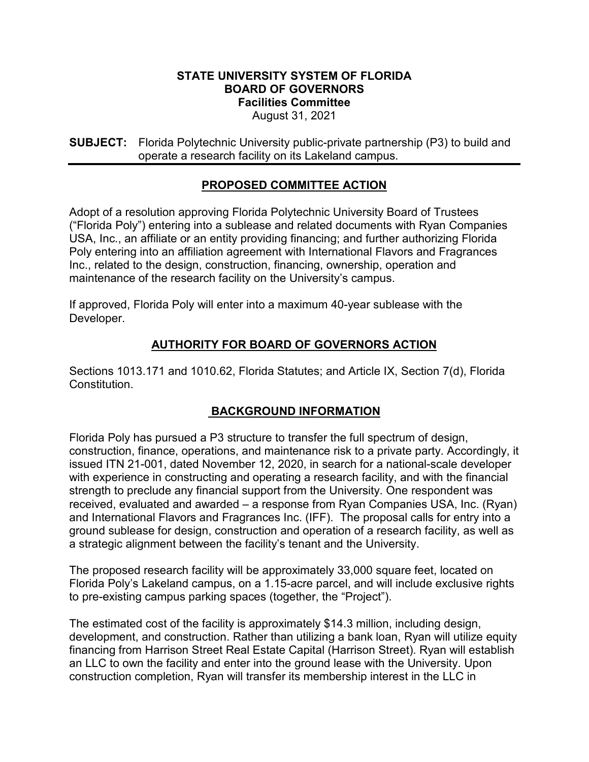#### **STATE UNIVERSITY SYSTEM OF FLORIDA BOARD OF GOVERNORS Facilities Committee** August 31, 2021

**SUBJECT:** Florida Polytechnic University public-private partnership (P3) to build and operate a research facility on its Lakeland campus.

# **PROPOSED COMMITTEE ACTION**

Adopt of a resolution approving Florida Polytechnic University Board of Trustees ("Florida Poly") entering into a sublease and related documents with Ryan Companies USA, Inc., an affiliate or an entity providing financing; and further authorizing Florida Poly entering into an affiliation agreement with International Flavors and Fragrances Inc., related to the design, construction, financing, ownership, operation and maintenance of the research facility on the University's campus.

If approved, Florida Poly will enter into a maximum 40-year sublease with the Developer.

# **AUTHORITY FOR BOARD OF GOVERNORS ACTION**

Sections 1013.171 and 1010.62, Florida Statutes; and Article IX, Section 7(d), Florida **Constitution** 

### **BACKGROUND INFORMATION**

Florida Poly has pursued a P3 structure to transfer the full spectrum of design, construction, finance, operations, and maintenance risk to a private party. Accordingly, it issued ITN 21-001, dated November 12, 2020, in search for a national-scale developer with experience in constructing and operating a research facility, and with the financial strength to preclude any financial support from the University. One respondent was received, evaluated and awarded – a response from Ryan Companies USA, Inc. (Ryan) and International Flavors and Fragrances Inc. (IFF). The proposal calls for entry into a ground sublease for design, construction and operation of a research facility, as well as a strategic alignment between the facility's tenant and the University.

The proposed research facility will be approximately 33,000 square feet, located on Florida Poly's Lakeland campus, on a 1.15-acre parcel, and will include exclusive rights to pre-existing campus parking spaces (together, the "Project").

The estimated cost of the facility is approximately \$14.3 million, including design, development, and construction. Rather than utilizing a bank loan, Ryan will utilize equity financing from Harrison Street Real Estate Capital (Harrison Street). Ryan will establish an LLC to own the facility and enter into the ground lease with the University. Upon construction completion, Ryan will transfer its membership interest in the LLC in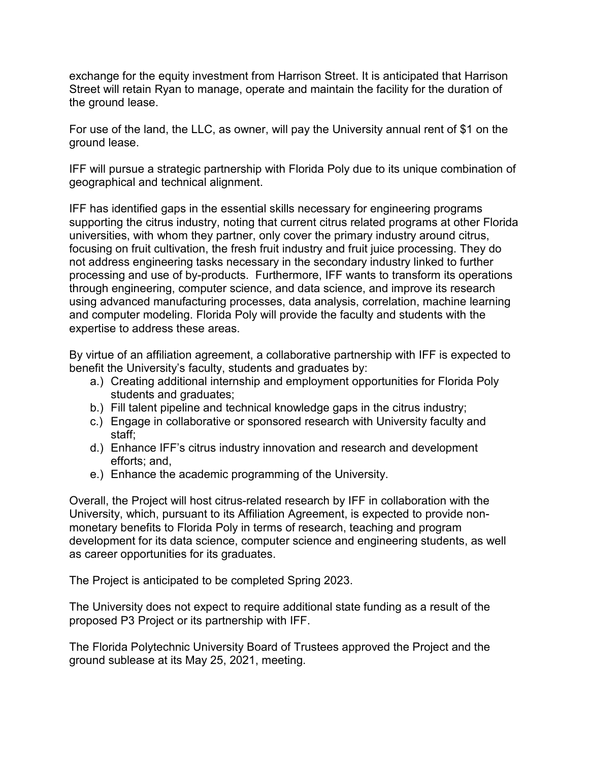exchange for the equity investment from Harrison Street. It is anticipated that Harrison Street will retain Ryan to manage, operate and maintain the facility for the duration of the ground lease.

For use of the land, the LLC, as owner, will pay the University annual rent of \$1 on the ground lease.

IFF will pursue a strategic partnership with Florida Poly due to its unique combination of geographical and technical alignment.

IFF has identified gaps in the essential skills necessary for engineering programs supporting the citrus industry, noting that current citrus related programs at other Florida universities, with whom they partner, only cover the primary industry around citrus, focusing on fruit cultivation, the fresh fruit industry and fruit juice processing. They do not address engineering tasks necessary in the secondary industry linked to further processing and use of by-products. Furthermore, IFF wants to transform its operations through engineering, computer science, and data science, and improve its research using advanced manufacturing processes, data analysis, correlation, machine learning and computer modeling. Florida Poly will provide the faculty and students with the expertise to address these areas.

By virtue of an affiliation agreement, a collaborative partnership with IFF is expected to benefit the University's faculty, students and graduates by:

- a.) Creating additional internship and employment opportunities for Florida Poly students and graduates;
- b.) Fill talent pipeline and technical knowledge gaps in the citrus industry;
- c.) Engage in collaborative or sponsored research with University faculty and staff;
- d.) Enhance IFF's citrus industry innovation and research and development efforts; and,
- e.) Enhance the academic programming of the University.

Overall, the Project will host citrus-related research by IFF in collaboration with the University, which, pursuant to its Affiliation Agreement, is expected to provide nonmonetary benefits to Florida Poly in terms of research, teaching and program development for its data science, computer science and engineering students, as well as career opportunities for its graduates.

The Project is anticipated to be completed Spring 2023.

The University does not expect to require additional state funding as a result of the proposed P3 Project or its partnership with IFF.

The Florida Polytechnic University Board of Trustees approved the Project and the ground sublease at its May 25, 2021, meeting.